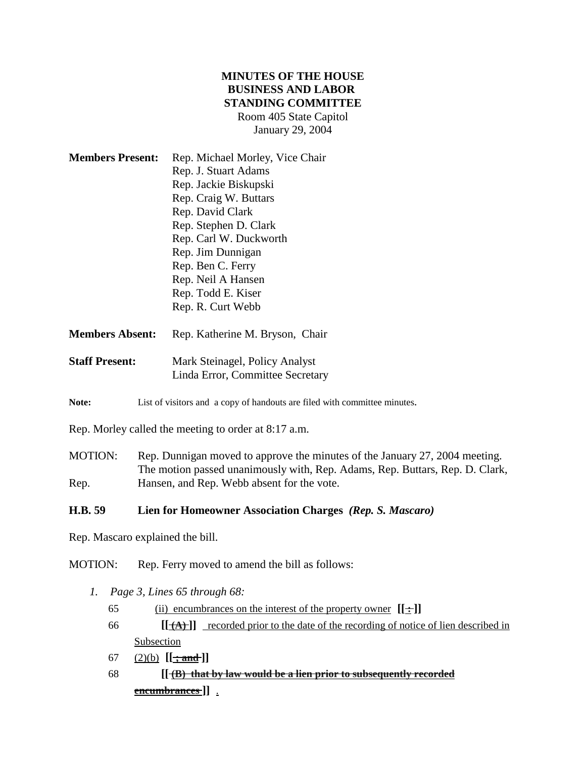# **MINUTES OF THE HOUSE BUSINESS AND LABOR STANDING COMMITTEE** Room 405 State Capitol January 29, 2004

| <b>Members Present:</b> | Rep. Michael Morley, Vice Chair |
|-------------------------|---------------------------------|
|                         | Rep. J. Stuart Adams            |
|                         | Rep. Jackie Biskupski           |
|                         | Rep. Craig W. Buttars           |
|                         | Rep. David Clark                |
|                         | Rep. Stephen D. Clark           |
|                         | Rep. Carl W. Duckworth          |
|                         | Rep. Jim Dunnigan               |
|                         | Rep. Ben C. Ferry               |
|                         | Rep. Neil A Hansen              |
|                         | Rep. Todd E. Kiser              |
|                         | Rep. R. Curt Webb               |
|                         |                                 |

- Members Absent: Rep. Katherine M. Bryson, Chair
- **Staff Present:** Mark Steinagel, Policy Analyst Linda Error, Committee Secretary
- Note: List of visitors and a copy of handouts are filed with committee minutes.

Rep. Morley called the meeting to order at 8:17 a.m.

MOTION: Rep. Dunnigan moved to approve the minutes of the January 27, 2004 meeting. The motion passed unanimously with, Rep. Adams, Rep. Buttars, Rep. D. Clark, Rep. Hansen, and Rep. Webb absent for the vote.

### **H.B. 59 Lien for Homeowner Association Charges** *(Rep. S. Mascaro)*

Rep. Mascaro explained the bill.

MOTION: Rep. Ferry moved to amend the bill as follows:

- *1. Page 3, Lines 65 through 68:*
	- 65 (ii) encumbrances on the interest of the property owner **[[ : ]]**
	- 66 **[[ (A) ]]** recorded prior to the date of the recording of notice of lien described in Subsection
	- 67 (2)(b) **[[ ; and ]]**
	- 68 **[[ (B) that by law would be a lien prior to subsequently recorded encumbrances ]]** .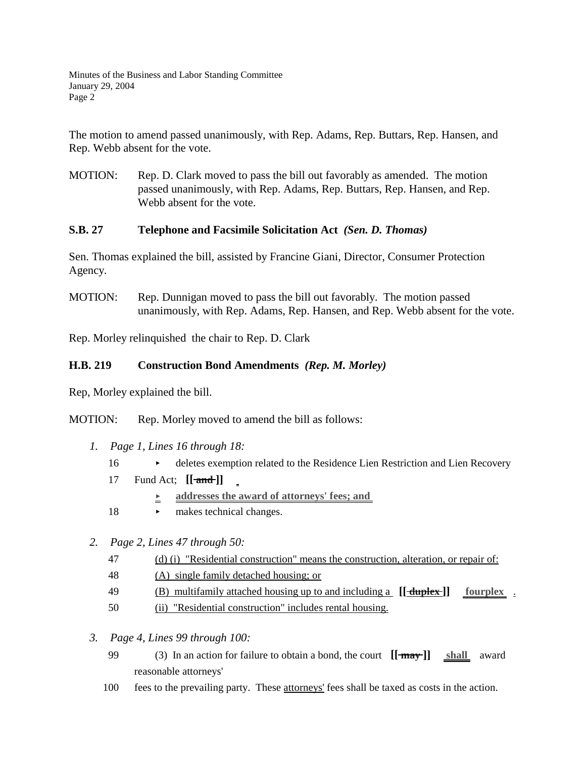Minutes of the Business and Labor Standing Committee January 29, 2004 Page 2

The motion to amend passed unanimously, with Rep. Adams, Rep. Buttars, Rep. Hansen, and Rep. Webb absent for the vote.

MOTION: Rep. D. Clark moved to pass the bill out favorably as amended. The motion passed unanimously, with Rep. Adams, Rep. Buttars, Rep. Hansen, and Rep. Webb absent for the vote.

### **S.B. 27 Telephone and Facsimile Solicitation Act** *(Sen. D. Thomas)*

Sen. Thomas explained the bill, assisted by Francine Giani, Director, Consumer Protection Agency.

MOTION: Rep. Dunnigan moved to pass the bill out favorably. The motion passed unanimously, with Rep. Adams, Rep. Hansen, and Rep. Webb absent for the vote.

Rep. Morley relinquished the chair to Rep. D. Clark

## **H.B. 219 Construction Bond Amendments** *(Rep. M. Morley)*

Rep, Morley explained the bill.

MOTION: Rep. Morley moved to amend the bill as follows:

- *1. Page 1, Lines 16 through 18:*
	- 16 deletes exemption related to the Residence Lien Restriction and Lien Recovery
	- 17 Fund Act; **[[ and ]]**
		- **<u>E**</u> addresses the award of attorneys' fees; and
	- 18 makes technical changes.
- *2. Page 2, Lines 47 through 50:*
	- 47 (d) (i) "Residential construction" means the construction, alteration, or repair of:
	- 48 (A) single family detached housing; or
	- 49 (B) multifamily attached housing up to and including a **[[ duplex ]] fourplex** .
	- 50 (ii) "Residential construction" includes rental housing.
- *3. Page 4, Lines 99 through 100:*
	- 99 (3) In an action for failure to obtain a bond, the court **[[ may ]] shall** award reasonable attorneys'
	- 100 fees to the prevailing party. These attorneys' fees shall be taxed as costs in the action.